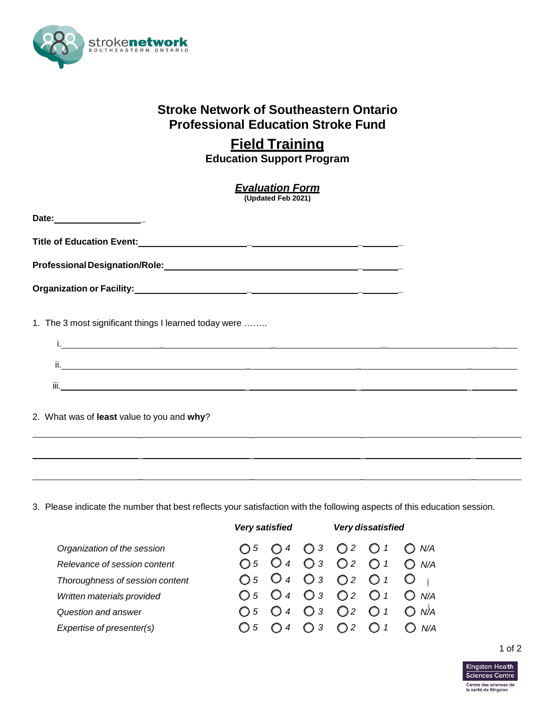

## **Stroke Network of Southeastern Ontario Professional Education Stroke Fund**

## **Field Training**

**Education Support Program**

| <b>Evaluation Form</b><br>(Updated Feb 2021)                                                                                                                                    |  |  |
|---------------------------------------------------------------------------------------------------------------------------------------------------------------------------------|--|--|
| Date: ____________________                                                                                                                                                      |  |  |
|                                                                                                                                                                                 |  |  |
|                                                                                                                                                                                 |  |  |
|                                                                                                                                                                                 |  |  |
| 1. The 3 most significant things I learned today were<br><u>i, a component component control de la component de la component de la component de la component de la componen</u> |  |  |
|                                                                                                                                                                                 |  |  |
|                                                                                                                                                                                 |  |  |
| 2. What was of least value to you and why?<br>1000 - 1000 - 1000 - 1000 - 1000 - 1000 - 1000 - 1000 - 1000 - 1000 - 1000 - 1000 - 1000 - 1000 - 1000 - 1000                     |  |  |
|                                                                                                                                                                                 |  |  |
|                                                                                                                                                                                 |  |  |

3. Please indicate the number that best reflects your satisfaction with the following aspects of this education session.

 $\mathcal{L} = \mathcal{L} \times \mathcal{L}$  , where  $\mathcal{L} = \mathcal{L} \times \mathcal{L}$  , where  $\mathcal{L} = \mathcal{L} \times \mathcal{L}$  , where  $\mathcal{L} = \mathcal{L} \times \mathcal{L}$ 

|                                 | <b>Very satisfied</b> | Very dissatisfied                                                                               |
|---------------------------------|-----------------------|-------------------------------------------------------------------------------------------------|
| Organization of the session     |                       | $\bigcirc$ 5 $\bigcirc$ 4 $\bigcirc$ 3 $\bigcirc$ 2 $\bigcirc$ 1<br>N/A                         |
| Relevance of session content    |                       | O <sub>5</sub> O <sub>4</sub> O <sub>3</sub> O <sub>2</sub> O <sub>1</sub> O <sub>N/A</sub>     |
| Thoroughness of session content |                       | $O_5$ $O_4$ $O_3$ $O_2$ $O_1$ $O_{\perp}$                                                       |
| Written materials provided      |                       | O 5 O 4 O 3 O 2 O 1 O N/A                                                                       |
| Question and answer             |                       | $\bigcirc$ 5 $\bigcirc$ 4 $\bigcirc$ 3 $\bigcirc$ 2 $\bigcirc$ 1 $\bigcirc$<br>N <sup>∦</sup> A |
| Expertise of presenter(s)       | $\bigcup$ 5<br>$O$ 4  | $\bigcirc$ 3<br>$\bigcirc$ 2<br>$\bigcirc$ 1                                                    |

## 1 of 2